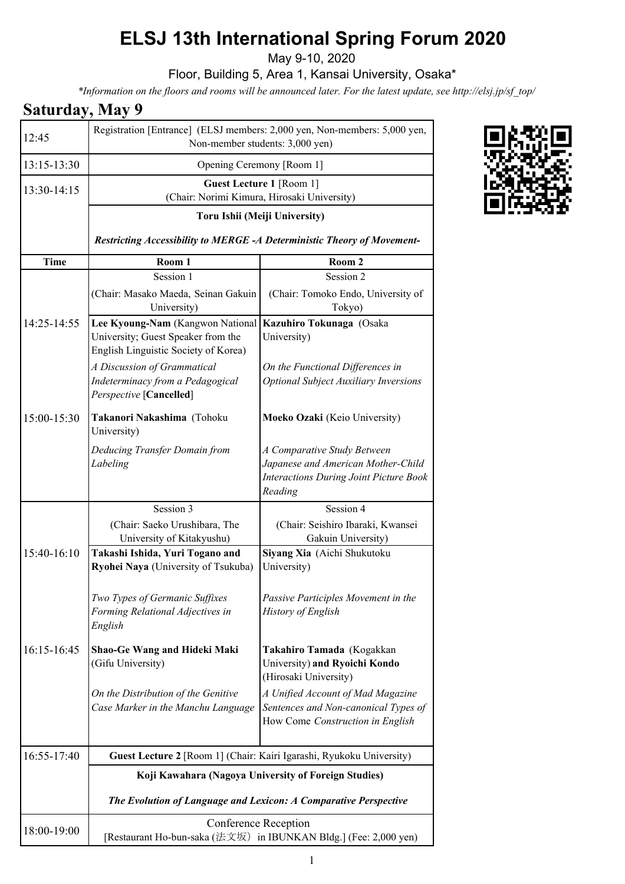## **ELSJ 13th International Spring Forum 2020**

May 9-10, 2020

Floor, Building 5, Area 1, Kansai University, Osaka\*

*\*Information on the floors and rooms will be announced later. For the latest update, see http://elsj.jp/sf\_top/*

## **Saturday, May 9**

| 12:45       | Registration [Entrance] (ELSJ members: 2,000 yen, Non-members: 5,000 yen,<br>Non-member students: 3,000 yen)                                                                               |                                                                                                                               |  |
|-------------|--------------------------------------------------------------------------------------------------------------------------------------------------------------------------------------------|-------------------------------------------------------------------------------------------------------------------------------|--|
| 13:15-13:30 | Opening Ceremony [Room 1]                                                                                                                                                                  |                                                                                                                               |  |
| 13:30-14:15 | <b>Guest Lecture 1 [Room 1]</b><br>(Chair: Norimi Kimura, Hirosaki University)<br>Toru Ishii (Meiji University)<br>Restricting Accessibility to MERGE -A Deterministic Theory of Movement- |                                                                                                                               |  |
|             |                                                                                                                                                                                            |                                                                                                                               |  |
|             |                                                                                                                                                                                            |                                                                                                                               |  |
| Time        | Room 1                                                                                                                                                                                     | Room 2                                                                                                                        |  |
|             | Session 1                                                                                                                                                                                  | Session 2                                                                                                                     |  |
|             | (Chair: Masako Maeda, Seinan Gakuin<br>University)                                                                                                                                         | (Chair: Tomoko Endo, University of<br>Tokyo)                                                                                  |  |
| 14:25-14:55 | Lee Kyoung-Nam (Kangwon National<br>University; Guest Speaker from the<br>English Linguistic Society of Korea)                                                                             | Kazuhiro Tokunaga (Osaka<br>University)                                                                                       |  |
|             | A Discussion of Grammatical<br>Indeterminacy from a Pedagogical<br>Perspective [Cancelled]                                                                                                 | On the Functional Differences in<br><b>Optional Subject Auxiliary Inversions</b>                                              |  |
| 15:00-15:30 | Takanori Nakashima (Tohoku<br>University)                                                                                                                                                  | Moeko Ozaki (Keio University)                                                                                                 |  |
|             | Deducing Transfer Domain from<br>Labeling                                                                                                                                                  | A Comparative Study Between<br>Japanese and American Mother-Child<br><b>Interactions During Joint Picture Book</b><br>Reading |  |
|             | Session 3                                                                                                                                                                                  | Session 4                                                                                                                     |  |
|             | (Chair: Saeko Urushibara, The<br>University of Kitakyushu)                                                                                                                                 | (Chair: Seishiro Ibaraki, Kwansei<br>Gakuin University)                                                                       |  |
| 15:40-16:10 | Takashi Ishida, Yuri Togano and<br>Ryohei Naya (University of Tsukuba)                                                                                                                     | Siyang Xia (Aichi Shukutoku<br>University)                                                                                    |  |
|             | Two Types of Germanic Suffixes<br>Forming Relational Adjectives in<br>English                                                                                                              | Passive Participles Movement in the<br>History of English                                                                     |  |
| 16:15-16:45 | Shao-Ge Wang and Hideki Maki<br>(Gifu University)                                                                                                                                          | Takahiro Tamada (Kogakkan<br>University) and Ryoichi Kondo<br>(Hirosaki University)                                           |  |
|             | On the Distribution of the Genitive<br>Case Marker in the Manchu Language                                                                                                                  | A Unified Account of Mad Magazine<br>Sentences and Non-canonical Types of<br>How Come Construction in English                 |  |
| 16:55-17:40 |                                                                                                                                                                                            | Guest Lecture 2 [Room 1] (Chair: Kairi Igarashi, Ryukoku University)                                                          |  |
|             | Koji Kawahara (Nagoya University of Foreign Studies)                                                                                                                                       |                                                                                                                               |  |
|             | The Evolution of Language and Lexicon: A Comparative Perspective                                                                                                                           |                                                                                                                               |  |
| 18:00-19:00 | Conference Reception<br>[Restaurant Ho-bun-saka (法文坂) in IBUNKAN Bldg.] (Fee: 2,000 yen)                                                                                                   |                                                                                                                               |  |

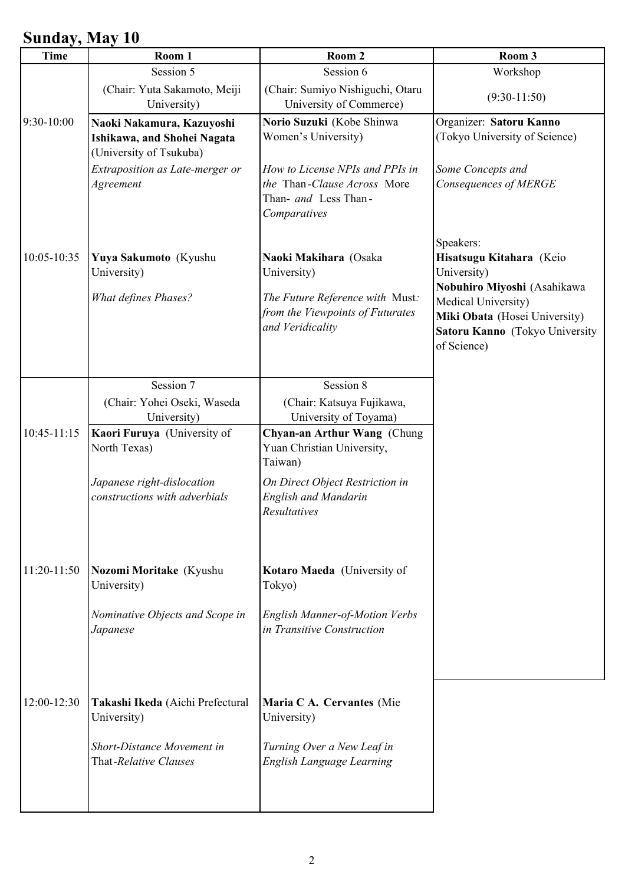## **Sunday, May 10**

| <b>Time</b> | $\sim$ $\prime$ $\sim$ $\sim$ $\sim$ $\prime$<br>Room 1                             | Room 2                                                                                                 | Room 3                                                                                                |
|-------------|-------------------------------------------------------------------------------------|--------------------------------------------------------------------------------------------------------|-------------------------------------------------------------------------------------------------------|
|             | Session 5                                                                           | Session 6                                                                                              | Workshop                                                                                              |
|             | (Chair: Yuta Sakamoto, Meiji<br>University)                                         | (Chair: Sumiyo Nishiguchi, Otaru<br>University of Commerce)                                            | $(9:30-11:50)$                                                                                        |
| 9:30-10:00  | Naoki Nakamura, Kazuyoshi<br>Ishikawa, and Shohei Nagata<br>(University of Tsukuba) | Norio Suzuki (Kobe Shinwa<br>Women's University)                                                       | Organizer: Satoru Kanno<br>(Tokyo University of Science)                                              |
|             | Extraposition as Late-merger or<br>Agreement                                        | How to License NPIs and PPIs in<br>the Than-Clause Across More<br>Than- and Less Than-<br>Comparatives | Some Concepts and<br>Consequences of MERGE                                                            |
| 10:05-10:35 | Yuya Sakumoto (Kyushu<br>University)<br><b>What defines Phases?</b>                 | Naoki Makihara (Osaka<br>University)<br>The Future Reference with Must:                                | Speakers:<br>Hisatsugu Kitahara (Keio<br>University)<br>Nobuhiro Miyoshi (Asahikawa                   |
|             |                                                                                     | from the Viewpoints of Futurates<br>and Veridicality                                                   | Medical University)<br>Miki Obata (Hosei University)<br>Satoru Kanno (Tokyo University<br>of Science) |
|             | Session 7                                                                           | Session 8                                                                                              |                                                                                                       |
|             | (Chair: Yohei Oseki, Waseda<br>University)                                          | (Chair: Katsuya Fujikawa,<br>University of Toyama)                                                     |                                                                                                       |
| 10:45-11:15 | Kaori Furuya (University of<br>North Texas)                                         | Chyan-an Arthur Wang (Chung<br>Yuan Christian University,<br>Taiwan)                                   |                                                                                                       |
|             | Japanese right-dislocation<br>constructions with adverbials                         | On Direct Object Restriction in<br><b>English and Mandarin</b><br>Resultatives                         |                                                                                                       |
| 11:20-11:50 | Nozomi Moritake (Kyushu<br>University)                                              | Kotaro Maeda (University of<br>Tokyo)                                                                  |                                                                                                       |
|             | Nominative Objects and Scope in<br>Japanese                                         | <b>English Manner-of-Motion Verbs</b><br>in Transitive Construction                                    |                                                                                                       |
| 12:00-12:30 | Takashi Ikeda (Aichi Prefectural<br>University)                                     | Maria C A. Cervantes (Mie<br>University)                                                               |                                                                                                       |
|             | Short-Distance Movement in<br>That-Relative Clauses                                 | Turning Over a New Leaf in<br>English Language Learning                                                |                                                                                                       |
|             |                                                                                     |                                                                                                        |                                                                                                       |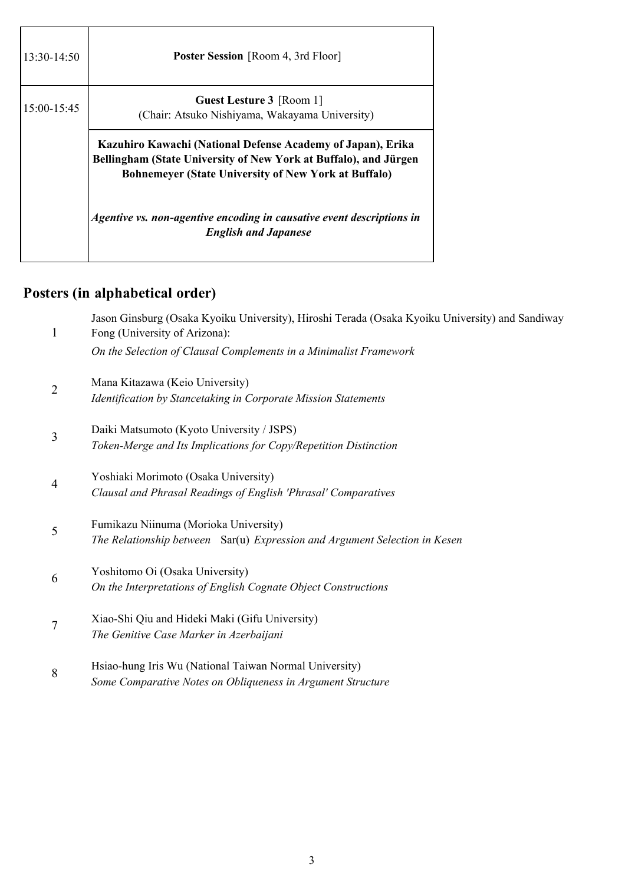| $13:30-14:50$ | <b>Poster Session</b> [Room 4, 3rd Floor]                                                                                                                                                      |  |
|---------------|------------------------------------------------------------------------------------------------------------------------------------------------------------------------------------------------|--|
| 15:00-15:45   | <b>Guest Lesture 3</b> [Room 1]<br>(Chair: Atsuko Nishiyama, Wakayama University)                                                                                                              |  |
|               | Kazuhiro Kawachi (National Defense Academy of Japan), Erika<br>Bellingham (State University of New York at Buffalo), and Jürgen<br><b>Bohnemeyer (State University of New York at Buffalo)</b> |  |
|               | Agentive vs. non-agentive encoding in causative event descriptions in<br><b>English and Japanese</b>                                                                                           |  |

## **Posters (in alphabetical order)**

| $\mathbf{1}$   | Jason Ginsburg (Osaka Kyoiku University), Hiroshi Terada (Osaka Kyoiku University) and Sandiway<br>Fong (University of Arizona): |
|----------------|----------------------------------------------------------------------------------------------------------------------------------|
|                | On the Selection of Clausal Complements in a Minimalist Framework                                                                |
| $\overline{2}$ | Mana Kitazawa (Keio University)                                                                                                  |
|                | Identification by Stancetaking in Corporate Mission Statements                                                                   |
| 3              | Daiki Matsumoto (Kyoto University / JSPS)                                                                                        |
|                | Token-Merge and Its Implications for Copy/Repetition Distinction                                                                 |
| $\overline{4}$ | Yoshiaki Morimoto (Osaka University)                                                                                             |
|                | Clausal and Phrasal Readings of English 'Phrasal' Comparatives                                                                   |
| 5              | Fumikazu Niinuma (Morioka University)                                                                                            |
|                | The Relationship between Sar(u) Expression and Argument Selection in Kesen                                                       |
| 6              | Yoshitomo Oi (Osaka University)                                                                                                  |
|                | On the Interpretations of English Cognate Object Constructions                                                                   |
| 7              | Xiao-Shi Qiu and Hideki Maki (Gifu University)                                                                                   |
|                | The Genitive Case Marker in Azerbaijani                                                                                          |
| 8              | Hsiao-hung Iris Wu (National Taiwan Normal University)                                                                           |
|                | Some Comparative Notes on Obliqueness in Argument Structure                                                                      |